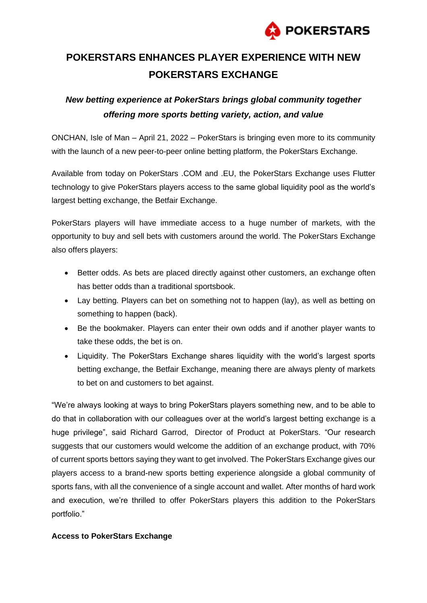

## **POKERSTARS ENHANCES PLAYER EXPERIENCE WITH NEW POKERSTARS EXCHANGE**

## *New betting experience at PokerStars brings global community together offering more sports betting variety, action, and value*

ONCHAN, Isle of Man – April 21, 2022 – PokerStars is bringing even more to its community with the launch of a new peer-to-peer online betting platform, the PokerStars Exchange.

Available from today on PokerStars .COM and .EU, the PokerStars Exchange uses Flutter technology to give PokerStars players access to the same global liquidity pool as the world's largest betting exchange, the Betfair Exchange.

PokerStars players will have immediate access to a huge number of markets, with the opportunity to buy and sell bets with customers around the world. The PokerStars Exchange also offers players:

- Better odds. As bets are placed directly against other customers, an exchange often has better odds than a traditional sportsbook.
- Lay betting. Players can bet on something not to happen (lay), as well as betting on something to happen (back).
- Be the bookmaker. Players can enter their own odds and if another player wants to take these odds, the bet is on.
- Liquidity. The PokerStars Exchange shares liquidity with the world's largest sports betting exchange, the Betfair Exchange, meaning there are always plenty of markets to bet on and customers to bet against.

"We're always looking at ways to bring PokerStars players something new, and to be able to do that in collaboration with our colleagues over at the world's largest betting exchange is a huge privilege", said Richard Garrod, Director of Product at PokerStars. "Our research suggests that our customers would welcome the addition of an exchange product, with 70% of current sports bettors saying they want to get involved. The PokerStars Exchange gives our players access to a brand-new sports betting experience alongside a global community of sports fans, with all the convenience of a single account and wallet. After months of hard work and execution, we're thrilled to offer PokerStars players this addition to the PokerStars portfolio."

## **Access to PokerStars Exchange**